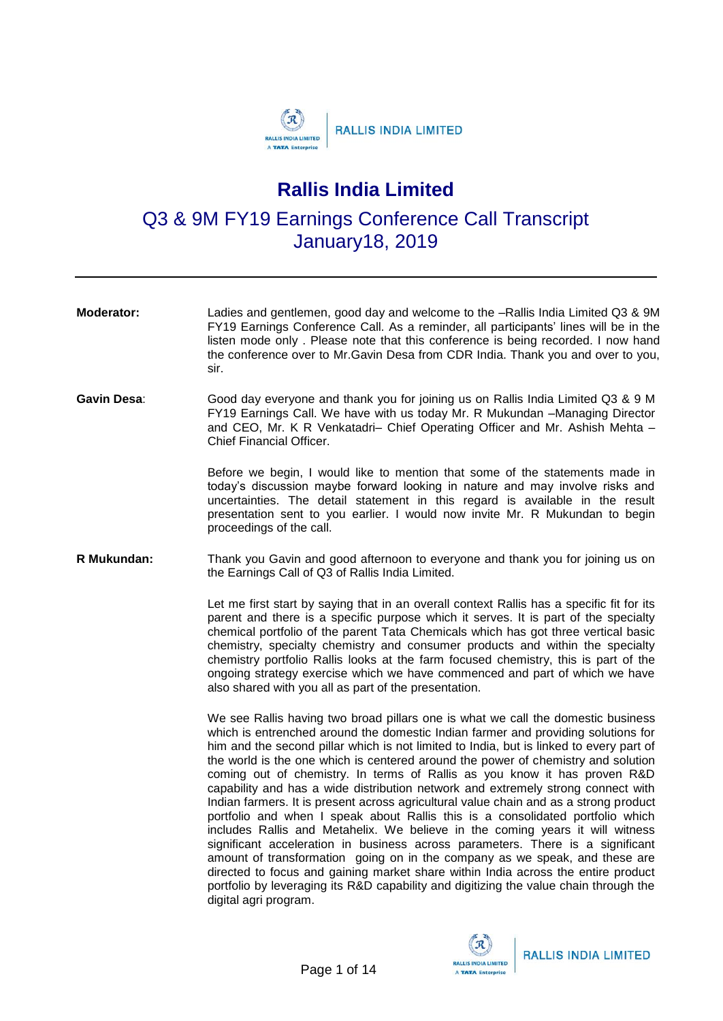

## **Rallis India Limited**

Q3 & 9M FY19 Earnings Conference Call Transcript January18, 2019

- **Moderator:** Ladies and gentlemen, good day and welcome to the –Rallis India Limited Q3 & 9M FY19 Earnings Conference Call. As a reminder, all participants' lines will be in the listen mode only . Please note that this conference is being recorded. I now hand the conference over to Mr.Gavin Desa from CDR India. Thank you and over to you, sir.
- **Gavin Desa**: Good day everyone and thank you for joining us on Rallis India Limited Q3 & 9 M FY19 Earnings Call. We have with us today Mr. R Mukundan –Managing Director and CEO, Mr. K R Venkatadri– Chief Operating Officer and Mr. Ashish Mehta – Chief Financial Officer.

Before we begin, I would like to mention that some of the statements made in today's discussion maybe forward looking in nature and may involve risks and uncertainties. The detail statement in this regard is available in the result presentation sent to you earlier. I would now invite Mr. R Mukundan to begin proceedings of the call.

**R Mukundan:** Thank you Gavin and good afternoon to everyone and thank you for joining us on the Earnings Call of Q3 of Rallis India Limited.

> Let me first start by saying that in an overall context Rallis has a specific fit for its parent and there is a specific purpose which it serves. It is part of the specialty chemical portfolio of the parent Tata Chemicals which has got three vertical basic chemistry, specialty chemistry and consumer products and within the specialty chemistry portfolio Rallis looks at the farm focused chemistry, this is part of the ongoing strategy exercise which we have commenced and part of which we have also shared with you all as part of the presentation.

> We see Rallis having two broad pillars one is what we call the domestic business which is entrenched around the domestic Indian farmer and providing solutions for him and the second pillar which is not limited to India, but is linked to every part of the world is the one which is centered around the power of chemistry and solution coming out of chemistry. In terms of Rallis as you know it has proven R&D capability and has a wide distribution network and extremely strong connect with Indian farmers. It is present across agricultural value chain and as a strong product portfolio and when I speak about Rallis this is a consolidated portfolio which includes Rallis and Metahelix. We believe in the coming years it will witness significant acceleration in business across parameters. There is a significant amount of transformation going on in the company as we speak, and these are directed to focus and gaining market share within India across the entire product portfolio by leveraging its R&D capability and digitizing the value chain through the digital agri program.

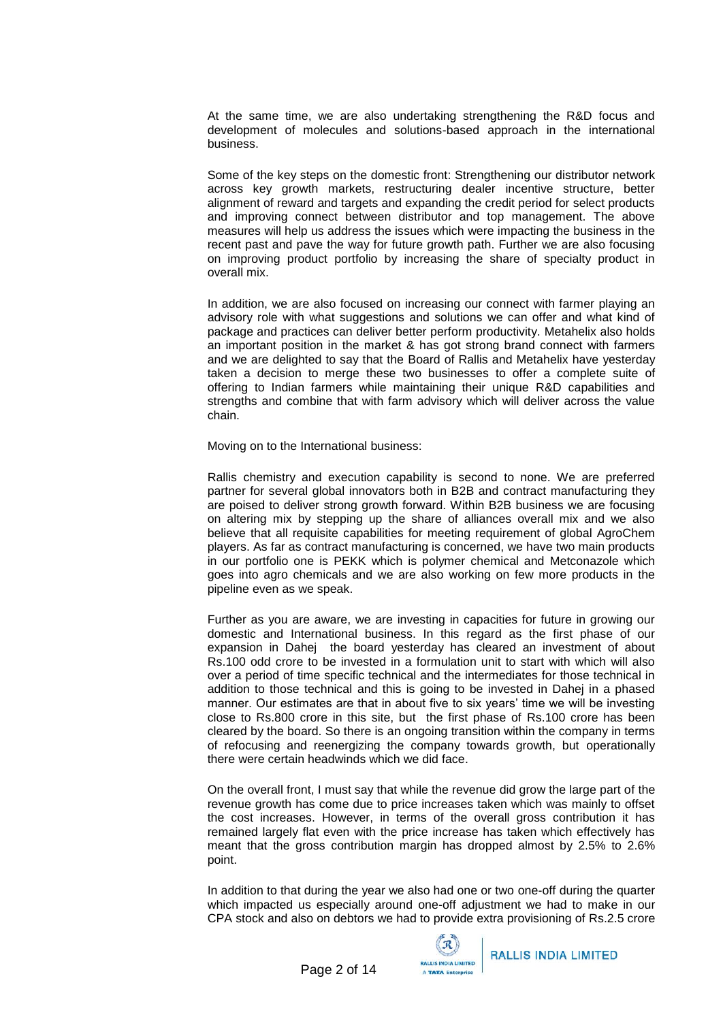At the same time, we are also undertaking strengthening the R&D focus and development of molecules and solutions-based approach in the international business.

Some of the key steps on the domestic front: Strengthening our distributor network across key growth markets, restructuring dealer incentive structure, better alignment of reward and targets and expanding the credit period for select products and improving connect between distributor and top management. The above measures will help us address the issues which were impacting the business in the recent past and pave the way for future growth path. Further we are also focusing on improving product portfolio by increasing the share of specialty product in overall mix.

In addition, we are also focused on increasing our connect with farmer playing an advisory role with what suggestions and solutions we can offer and what kind of package and practices can deliver better perform productivity. Metahelix also holds an important position in the market & has got strong brand connect with farmers and we are delighted to say that the Board of Rallis and Metahelix have yesterday taken a decision to merge these two businesses to offer a complete suite of offering to Indian farmers while maintaining their unique R&D capabilities and strengths and combine that with farm advisory which will deliver across the value chain.

Moving on to the International business:

Rallis chemistry and execution capability is second to none. We are preferred partner for several global innovators both in B2B and contract manufacturing they are poised to deliver strong growth forward. Within B2B business we are focusing on altering mix by stepping up the share of alliances overall mix and we also believe that all requisite capabilities for meeting requirement of global AgroChem players. As far as contract manufacturing is concerned, we have two main products in our portfolio one is PEKK which is polymer chemical and Metconazole which goes into agro chemicals and we are also working on few more products in the pipeline even as we speak.

Further as you are aware, we are investing in capacities for future in growing our domestic and International business. In this regard as the first phase of our expansion in Dahej the board yesterday has cleared an investment of about Rs.100 odd crore to be invested in a formulation unit to start with which will also over a period of time specific technical and the intermediates for those technical in addition to those technical and this is going to be invested in Dahej in a phased manner. Our estimates are that in about five to six years' time we will be investing close to Rs.800 crore in this site, but the first phase of Rs.100 crore has been cleared by the board. So there is an ongoing transition within the company in terms of refocusing and reenergizing the company towards growth, but operationally there were certain headwinds which we did face.

On the overall front, I must say that while the revenue did grow the large part of the revenue growth has come due to price increases taken which was mainly to offset the cost increases. However, in terms of the overall gross contribution it has remained largely flat even with the price increase has taken which effectively has meant that the gross contribution margin has dropped almost by 2.5% to 2.6% point.

In addition to that during the year we also had one or two one-off during the quarter which impacted us especially around one-off adjustment we had to make in our CPA stock and also on debtors we had to provide extra provisioning of Rs.2.5 crore

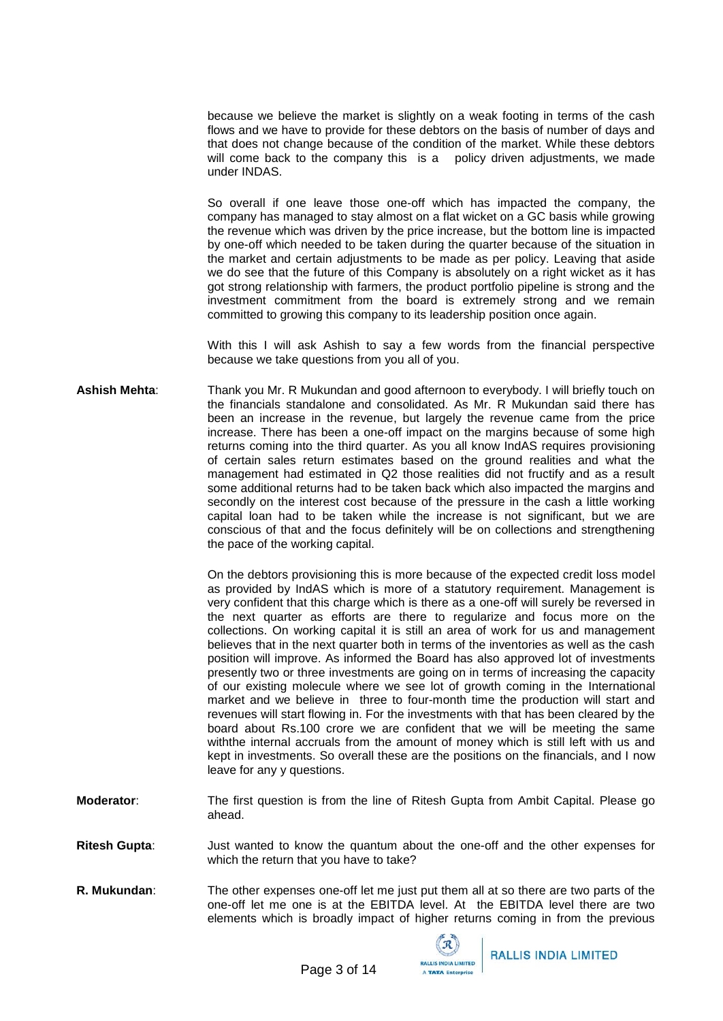because we believe the market is slightly on a weak footing in terms of the cash flows and we have to provide for these debtors on the basis of number of days and that does not change because of the condition of the market. While these debtors will come back to the company this is a policy driven adjustments, we made under INDAS.

So overall if one leave those one-off which has impacted the company, the company has managed to stay almost on a flat wicket on a GC basis while growing the revenue which was driven by the price increase, but the bottom line is impacted by one-off which needed to be taken during the quarter because of the situation in the market and certain adjustments to be made as per policy. Leaving that aside we do see that the future of this Company is absolutely on a right wicket as it has got strong relationship with farmers, the product portfolio pipeline is strong and the investment commitment from the board is extremely strong and we remain committed to growing this company to its leadership position once again.

With this I will ask Ashish to say a few words from the financial perspective because we take questions from you all of you.

**Ashish Mehta**: Thank you Mr. R Mukundan and good afternoon to everybody. I will briefly touch on the financials standalone and consolidated. As Mr. R Mukundan said there has been an increase in the revenue, but largely the revenue came from the price increase. There has been a one-off impact on the margins because of some high returns coming into the third quarter. As you all know IndAS requires provisioning of certain sales return estimates based on the ground realities and what the management had estimated in Q2 those realities did not fructify and as a result some additional returns had to be taken back which also impacted the margins and secondly on the interest cost because of the pressure in the cash a little working capital loan had to be taken while the increase is not significant, but we are conscious of that and the focus definitely will be on collections and strengthening the pace of the working capital.

> On the debtors provisioning this is more because of the expected credit loss model as provided by IndAS which is more of a statutory requirement. Management is very confident that this charge which is there as a one-off will surely be reversed in the next quarter as efforts are there to regularize and focus more on the collections. On working capital it is still an area of work for us and management believes that in the next quarter both in terms of the inventories as well as the cash position will improve. As informed the Board has also approved lot of investments presently two or three investments are going on in terms of increasing the capacity of our existing molecule where we see lot of growth coming in the International market and we believe in three to four-month time the production will start and revenues will start flowing in. For the investments with that has been cleared by the board about Rs.100 crore we are confident that we will be meeting the same withthe internal accruals from the amount of money which is still left with us and kept in investments. So overall these are the positions on the financials, and I now leave for any y questions.

**Moderator**: The first question is from the line of Ritesh Gupta from Ambit Capital. Please go ahead.

**Ritesh Gupta**: Just wanted to know the quantum about the one-off and the other expenses for which the return that you have to take?

**R. Mukundan**: The other expenses one-off let me just put them all at so there are two parts of the one-off let me one is at the EBITDA level. At the EBITDA level there are two elements which is broadly impact of higher returns coming in from the previous

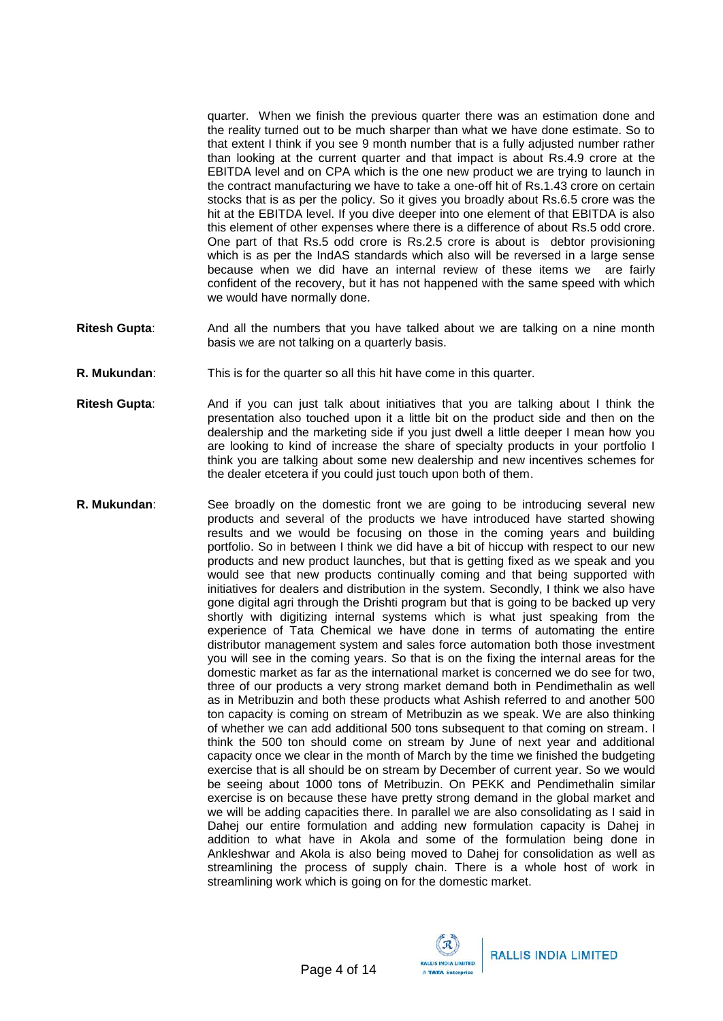quarter. When we finish the previous quarter there was an estimation done and the reality turned out to be much sharper than what we have done estimate. So to that extent I think if you see 9 month number that is a fully adjusted number rather than looking at the current quarter and that impact is about Rs.4.9 crore at the EBITDA level and on CPA which is the one new product we are trying to launch in the contract manufacturing we have to take a one-off hit of Rs.1.43 crore on certain stocks that is as per the policy. So it gives you broadly about Rs.6.5 crore was the hit at the EBITDA level. If you dive deeper into one element of that EBITDA is also this element of other expenses where there is a difference of about Rs.5 odd crore. One part of that Rs.5 odd crore is Rs.2.5 crore is about is debtor provisioning which is as per the IndAS standards which also will be reversed in a large sense because when we did have an internal review of these items we are fairly confident of the recovery, but it has not happened with the same speed with which we would have normally done.

- **Ritesh Gupta**: And all the numbers that you have talked about we are talking on a nine month basis we are not talking on a quarterly basis.
- **R. Mukundan**: This is for the quarter so all this hit have come in this quarter.
- **Ritesh Gupta**: And if you can just talk about initiatives that you are talking about I think the presentation also touched upon it a little bit on the product side and then on the dealership and the marketing side if you just dwell a little deeper I mean how you are looking to kind of increase the share of specialty products in your portfolio I think you are talking about some new dealership and new incentives schemes for the dealer etcetera if you could just touch upon both of them.
- **R. Mukundan**: See broadly on the domestic front we are going to be introducing several new products and several of the products we have introduced have started showing results and we would be focusing on those in the coming years and building portfolio. So in between I think we did have a bit of hiccup with respect to our new products and new product launches, but that is getting fixed as we speak and you would see that new products continually coming and that being supported with initiatives for dealers and distribution in the system. Secondly, I think we also have gone digital agri through the Drishti program but that is going to be backed up very shortly with digitizing internal systems which is what just speaking from the experience of Tata Chemical we have done in terms of automating the entire distributor management system and sales force automation both those investment you will see in the coming years. So that is on the fixing the internal areas for the domestic market as far as the international market is concerned we do see for two, three of our products a very strong market demand both in Pendimethalin as well as in Metribuzin and both these products what Ashish referred to and another 500 ton capacity is coming on stream of Metribuzin as we speak. We are also thinking of whether we can add additional 500 tons subsequent to that coming on stream. I think the 500 ton should come on stream by June of next year and additional capacity once we clear in the month of March by the time we finished the budgeting exercise that is all should be on stream by December of current year. So we would be seeing about 1000 tons of Metribuzin. On PEKK and Pendimethalin similar exercise is on because these have pretty strong demand in the global market and we will be adding capacities there. In parallel we are also consolidating as I said in Dahej our entire formulation and adding new formulation capacity is Dahej in addition to what have in Akola and some of the formulation being done in Ankleshwar and Akola is also being moved to Dahej for consolidation as well as streamlining the process of supply chain. There is a whole host of work in streamlining work which is going on for the domestic market.

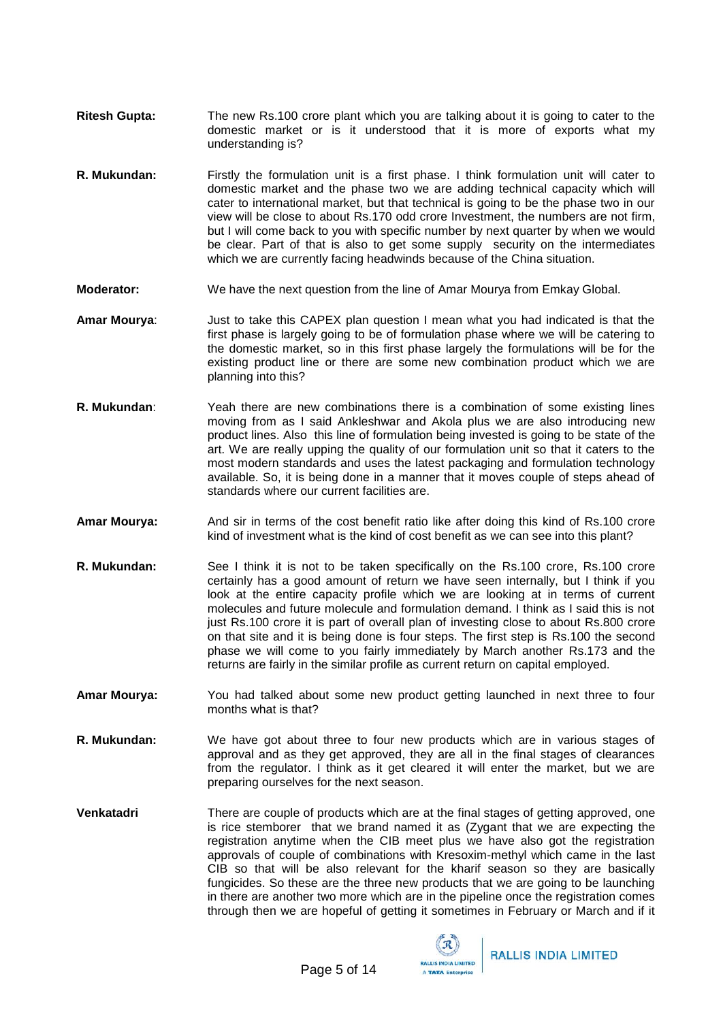- **Ritesh Gupta:** The new Rs.100 crore plant which you are talking about it is going to cater to the domestic market or is it understood that it is more of exports what my understanding is?
- **R. Mukundan:** Firstly the formulation unit is a first phase. I think formulation unit will cater to domestic market and the phase two we are adding technical capacity which will cater to international market, but that technical is going to be the phase two in our view will be close to about Rs.170 odd crore Investment, the numbers are not firm, but I will come back to you with specific number by next quarter by when we would be clear. Part of that is also to get some supply security on the intermediates which we are currently facing headwinds because of the China situation.
- **Moderator:** We have the next question from the line of Amar Mourya from Emkay Global.
- **Amar Mourya**: Just to take this CAPEX plan question I mean what you had indicated is that the first phase is largely going to be of formulation phase where we will be catering to the domestic market, so in this first phase largely the formulations will be for the existing product line or there are some new combination product which we are planning into this?
- **R. Mukundan**: Yeah there are new combinations there is a combination of some existing lines moving from as I said Ankleshwar and Akola plus we are also introducing new product lines. Also this line of formulation being invested is going to be state of the art. We are really upping the quality of our formulation unit so that it caters to the most modern standards and uses the latest packaging and formulation technology available. So, it is being done in a manner that it moves couple of steps ahead of standards where our current facilities are.
- **Amar Mourya:** And sir in terms of the cost benefit ratio like after doing this kind of Rs.100 crore kind of investment what is the kind of cost benefit as we can see into this plant?
- **R. Mukundan:** See I think it is not to be taken specifically on the Rs.100 crore, Rs.100 crore certainly has a good amount of return we have seen internally, but I think if you look at the entire capacity profile which we are looking at in terms of current molecules and future molecule and formulation demand. I think as I said this is not just Rs.100 crore it is part of overall plan of investing close to about Rs.800 crore on that site and it is being done is four steps. The first step is Rs.100 the second phase we will come to you fairly immediately by March another Rs.173 and the returns are fairly in the similar profile as current return on capital employed.
- **Amar Mourya:** You had talked about some new product getting launched in next three to four months what is that?
- **R. Mukundan:** We have got about three to four new products which are in various stages of approval and as they get approved, they are all in the final stages of clearances from the regulator. I think as it get cleared it will enter the market, but we are preparing ourselves for the next season.
- **Venkatadri** There are couple of products which are at the final stages of getting approved, one is rice stemborer that we brand named it as (Zygant that we are expecting the registration anytime when the CIB meet plus we have also got the registration approvals of couple of combinations with Kresoxim-methyl which came in the last CIB so that will be also relevant for the kharif season so they are basically fungicides. So these are the three new products that we are going to be launching in there are another two more which are in the pipeline once the registration comes through then we are hopeful of getting it sometimes in February or March and if it

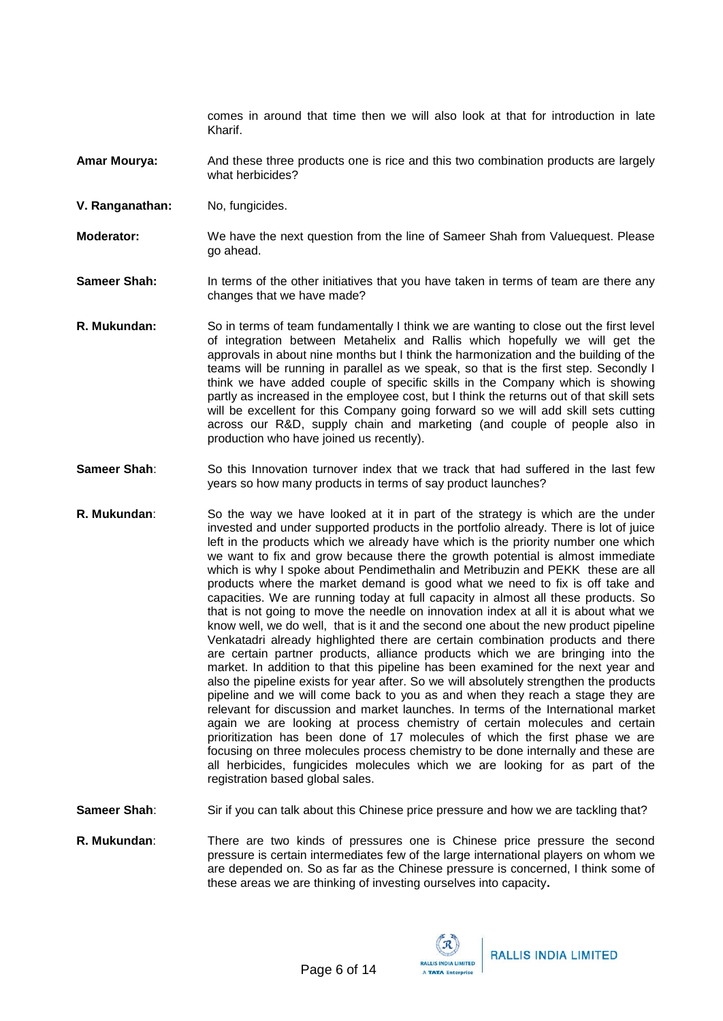comes in around that time then we will also look at that for introduction in late Kharif.

- **Amar Mourya:** And these three products one is rice and this two combination products are largely what herbicides?
- **V. Ranganathan:** No, fungicides.
- **Moderator:** We have the next question from the line of Sameer Shah from Valuequest. Please go ahead.
- **Sameer Shah:** In terms of the other initiatives that you have taken in terms of team are there any changes that we have made?
- **R. Mukundan:** So in terms of team fundamentally I think we are wanting to close out the first level of integration between Metahelix and Rallis which hopefully we will get the approvals in about nine months but I think the harmonization and the building of the teams will be running in parallel as we speak, so that is the first step. Secondly I think we have added couple of specific skills in the Company which is showing partly as increased in the employee cost, but I think the returns out of that skill sets will be excellent for this Company going forward so we will add skill sets cutting across our R&D, supply chain and marketing (and couple of people also in production who have joined us recently).
- **Sameer Shah**: So this Innovation turnover index that we track that had suffered in the last few years so how many products in terms of say product launches?
- **R. Mukundan**: So the way we have looked at it in part of the strategy is which are the under invested and under supported products in the portfolio already. There is lot of juice left in the products which we already have which is the priority number one which we want to fix and grow because there the growth potential is almost immediate which is why I spoke about Pendimethalin and Metribuzin and PEKK these are all products where the market demand is good what we need to fix is off take and capacities. We are running today at full capacity in almost all these products. So that is not going to move the needle on innovation index at all it is about what we know well, we do well, that is it and the second one about the new product pipeline Venkatadri already highlighted there are certain combination products and there are certain partner products, alliance products which we are bringing into the market. In addition to that this pipeline has been examined for the next year and also the pipeline exists for year after. So we will absolutely strengthen the products pipeline and we will come back to you as and when they reach a stage they are relevant for discussion and market launches. In terms of the International market again we are looking at process chemistry of certain molecules and certain prioritization has been done of 17 molecules of which the first phase we are focusing on three molecules process chemistry to be done internally and these are all herbicides, fungicides molecules which we are looking for as part of the registration based global sales.

**Sameer Shah**: Sir if you can talk about this Chinese price pressure and how we are tackling that?

**R. Mukundan**: There are two kinds of pressures one is Chinese price pressure the second pressure is certain intermediates few of the large international players on whom we are depended on. So as far as the Chinese pressure is concerned, I think some of these areas we are thinking of investing ourselves into capacity**.**

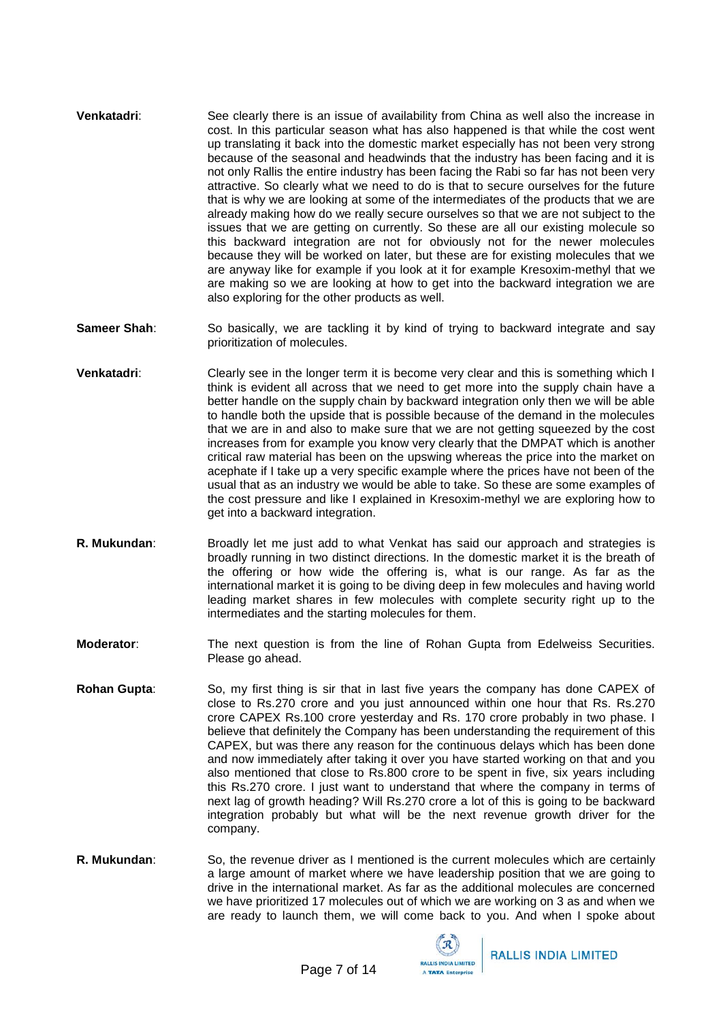- **Venkatadri:** See clearly there is an issue of availability from China as well also the increase in cost. In this particular season what has also happened is that while the cost went up translating it back into the domestic market especially has not been very strong because of the seasonal and headwinds that the industry has been facing and it is not only Rallis the entire industry has been facing the Rabi so far has not been very attractive. So clearly what we need to do is that to secure ourselves for the future that is why we are looking at some of the intermediates of the products that we are already making how do we really secure ourselves so that we are not subject to the issues that we are getting on currently. So these are all our existing molecule so this backward integration are not for obviously not for the newer molecules because they will be worked on later, but these are for existing molecules that we are anyway like for example if you look at it for example Kresoxim-methyl that we are making so we are looking at how to get into the backward integration we are also exploring for the other products as well.
- **Sameer Shah**: So basically, we are tackling it by kind of trying to backward integrate and say prioritization of molecules.
- **Venkatadri**: Clearly see in the longer term it is become very clear and this is something which I think is evident all across that we need to get more into the supply chain have a better handle on the supply chain by backward integration only then we will be able to handle both the upside that is possible because of the demand in the molecules that we are in and also to make sure that we are not getting squeezed by the cost increases from for example you know very clearly that the DMPAT which is another critical raw material has been on the upswing whereas the price into the market on acephate if I take up a very specific example where the prices have not been of the usual that as an industry we would be able to take. So these are some examples of the cost pressure and like I explained in Kresoxim-methyl we are exploring how to get into a backward integration.
- **R. Mukundan:** Broadly let me just add to what Venkat has said our approach and strategies is broadly running in two distinct directions. In the domestic market it is the breath of the offering or how wide the offering is, what is our range. As far as the international market it is going to be diving deep in few molecules and having world leading market shares in few molecules with complete security right up to the intermediates and the starting molecules for them.
- **Moderator**: The next question is from the line of Rohan Gupta from Edelweiss Securities. Please go ahead.
- **Rohan Gupta**: So, my first thing is sir that in last five years the company has done CAPEX of close to Rs.270 crore and you just announced within one hour that Rs. Rs.270 crore CAPEX Rs.100 crore yesterday and Rs. 170 crore probably in two phase. I believe that definitely the Company has been understanding the requirement of this CAPEX, but was there any reason for the continuous delays which has been done and now immediately after taking it over you have started working on that and you also mentioned that close to Rs.800 crore to be spent in five, six years including this Rs.270 crore. I just want to understand that where the company in terms of next lag of growth heading? Will Rs.270 crore a lot of this is going to be backward integration probably but what will be the next revenue growth driver for the company.
- **R. Mukundan**: So, the revenue driver as I mentioned is the current molecules which are certainly a large amount of market where we have leadership position that we are going to drive in the international market. As far as the additional molecules are concerned we have prioritized 17 molecules out of which we are working on 3 as and when we are ready to launch them, we will come back to you. And when I spoke about

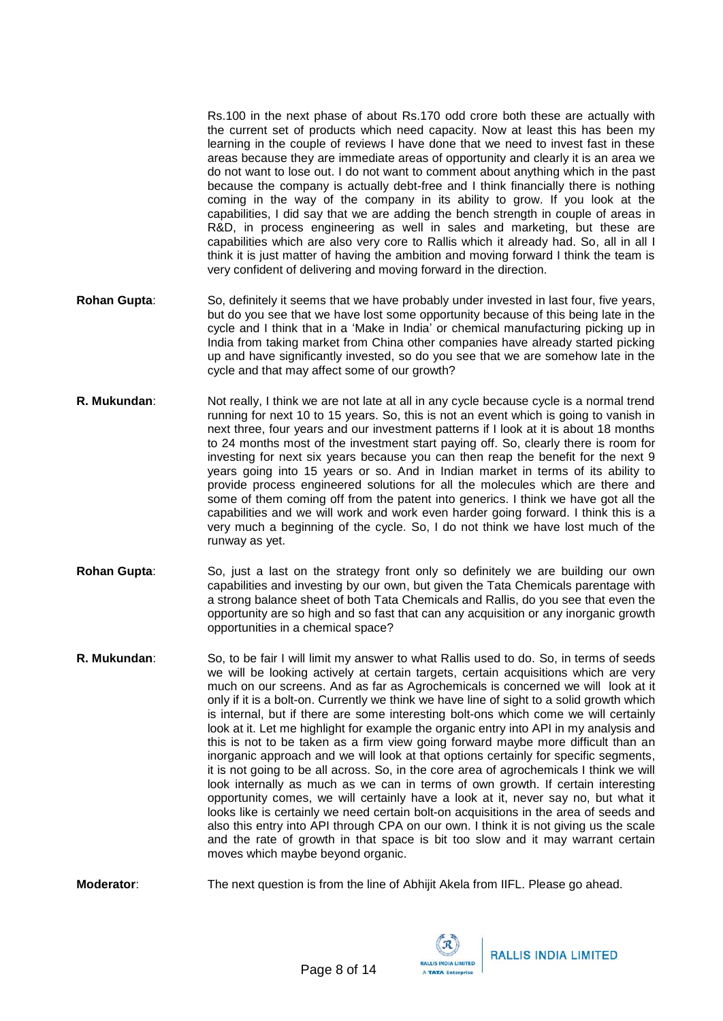Rs.100 in the next phase of about Rs.170 odd crore both these are actually with the current set of products which need capacity. Now at least this has been my learning in the couple of reviews I have done that we need to invest fast in these areas because they are immediate areas of opportunity and clearly it is an area we do not want to lose out. I do not want to comment about anything which in the past because the company is actually debt-free and I think financially there is nothing coming in the way of the company in its ability to grow. If you look at the capabilities, I did say that we are adding the bench strength in couple of areas in R&D, in process engineering as well in sales and marketing, but these are capabilities which are also very core to Rallis which it already had. So, all in all I think it is just matter of having the ambition and moving forward I think the team is very confident of delivering and moving forward in the direction.

- **Rohan Gupta**: So, definitely it seems that we have probably under invested in last four, five years, but do you see that we have lost some opportunity because of this being late in the cycle and I think that in a 'Make in India' or chemical manufacturing picking up in India from taking market from China other companies have already started picking up and have significantly invested, so do you see that we are somehow late in the cycle and that may affect some of our growth?
- **R. Mukundan**: Not really, I think we are not late at all in any cycle because cycle is a normal trend running for next 10 to 15 years. So, this is not an event which is going to vanish in next three, four years and our investment patterns if I look at it is about 18 months to 24 months most of the investment start paying off. So, clearly there is room for investing for next six years because you can then reap the benefit for the next 9 years going into 15 years or so. And in Indian market in terms of its ability to provide process engineered solutions for all the molecules which are there and some of them coming off from the patent into generics. I think we have got all the capabilities and we will work and work even harder going forward. I think this is a very much a beginning of the cycle. So, I do not think we have lost much of the runway as yet.
- **Rohan Gupta**: So, just a last on the strategy front only so definitely we are building our own capabilities and investing by our own, but given the Tata Chemicals parentage with a strong balance sheet of both Tata Chemicals and Rallis, do you see that even the opportunity are so high and so fast that can any acquisition or any inorganic growth opportunities in a chemical space?
- **R. Mukundan**: So, to be fair I will limit my answer to what Rallis used to do. So, in terms of seeds we will be looking actively at certain targets, certain acquisitions which are very much on our screens. And as far as Agrochemicals is concerned we will look at it only if it is a bolt-on. Currently we think we have line of sight to a solid growth which is internal, but if there are some interesting bolt-ons which come we will certainly look at it. Let me highlight for example the organic entry into API in my analysis and this is not to be taken as a firm view going forward maybe more difficult than an inorganic approach and we will look at that options certainly for specific segments, it is not going to be all across. So, in the core area of agrochemicals I think we will look internally as much as we can in terms of own growth. If certain interesting opportunity comes, we will certainly have a look at it, never say no, but what it looks like is certainly we need certain bolt-on acquisitions in the area of seeds and also this entry into API through CPA on our own. I think it is not giving us the scale and the rate of growth in that space is bit too slow and it may warrant certain moves which maybe beyond organic.

**Moderator:** The next question is from the line of Abhijit Akela from IIFL. Please go ahead.

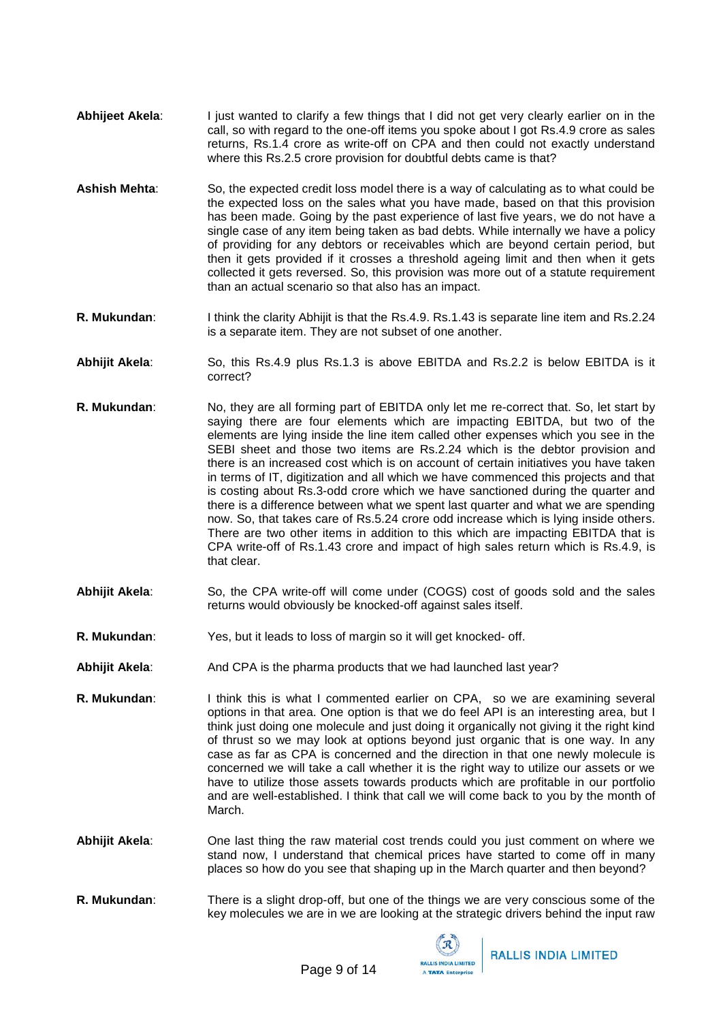- **Abhijeet Akela**: I just wanted to clarify a few things that I did not get very clearly earlier on in the call, so with regard to the one-off items you spoke about I got Rs.4.9 crore as sales returns, Rs.1.4 crore as write-off on CPA and then could not exactly understand where this Rs.2.5 crore provision for doubtful debts came is that?
- **Ashish Mehta**: So, the expected credit loss model there is a way of calculating as to what could be the expected loss on the sales what you have made, based on that this provision has been made. Going by the past experience of last five years, we do not have a single case of any item being taken as bad debts. While internally we have a policy of providing for any debtors or receivables which are beyond certain period, but then it gets provided if it crosses a threshold ageing limit and then when it gets collected it gets reversed. So, this provision was more out of a statute requirement than an actual scenario so that also has an impact.
- **R. Mukundan**: I think the clarity Abhijit is that the Rs.4.9. Rs.1.43 is separate line item and Rs.2.24 is a separate item. They are not subset of one another.
- **Abhijit Akela**: So, this Rs.4.9 plus Rs.1.3 is above EBITDA and Rs.2.2 is below EBITDA is it correct?
- **R. Mukundan**: No, they are all forming part of EBITDA only let me re-correct that. So, let start by saying there are four elements which are impacting EBITDA, but two of the elements are lying inside the line item called other expenses which you see in the SEBI sheet and those two items are Rs.2.24 which is the debtor provision and there is an increased cost which is on account of certain initiatives you have taken in terms of IT, digitization and all which we have commenced this projects and that is costing about Rs.3-odd crore which we have sanctioned during the quarter and there is a difference between what we spent last quarter and what we are spending now. So, that takes care of Rs.5.24 crore odd increase which is lying inside others. There are two other items in addition to this which are impacting EBITDA that is CPA write-off of Rs.1.43 crore and impact of high sales return which is Rs.4.9, is that clear.
- **Abhijit Akela**: So, the CPA write-off will come under (COGS) cost of goods sold and the sales returns would obviously be knocked-off against sales itself.
- **R. Mukundan**: Yes, but it leads to loss of margin so it will get knocked- off.
- **Abhijit Akela:** And CPA is the pharma products that we had launched last year?
- **R. Mukundan:** I think this is what I commented earlier on CPA, so we are examining several options in that area. One option is that we do feel API is an interesting area, but I think just doing one molecule and just doing it organically not giving it the right kind of thrust so we may look at options beyond just organic that is one way. In any case as far as CPA is concerned and the direction in that one newly molecule is concerned we will take a call whether it is the right way to utilize our assets or we have to utilize those assets towards products which are profitable in our portfolio and are well-established. I think that call we will come back to you by the month of March.
- **Abhijit Akela**: One last thing the raw material cost trends could you just comment on where we stand now, I understand that chemical prices have started to come off in many places so how do you see that shaping up in the March quarter and then beyond?
- **R. Mukundan**: There is a slight drop-off, but one of the things we are very conscious some of the key molecules we are in we are looking at the strategic drivers behind the input raw

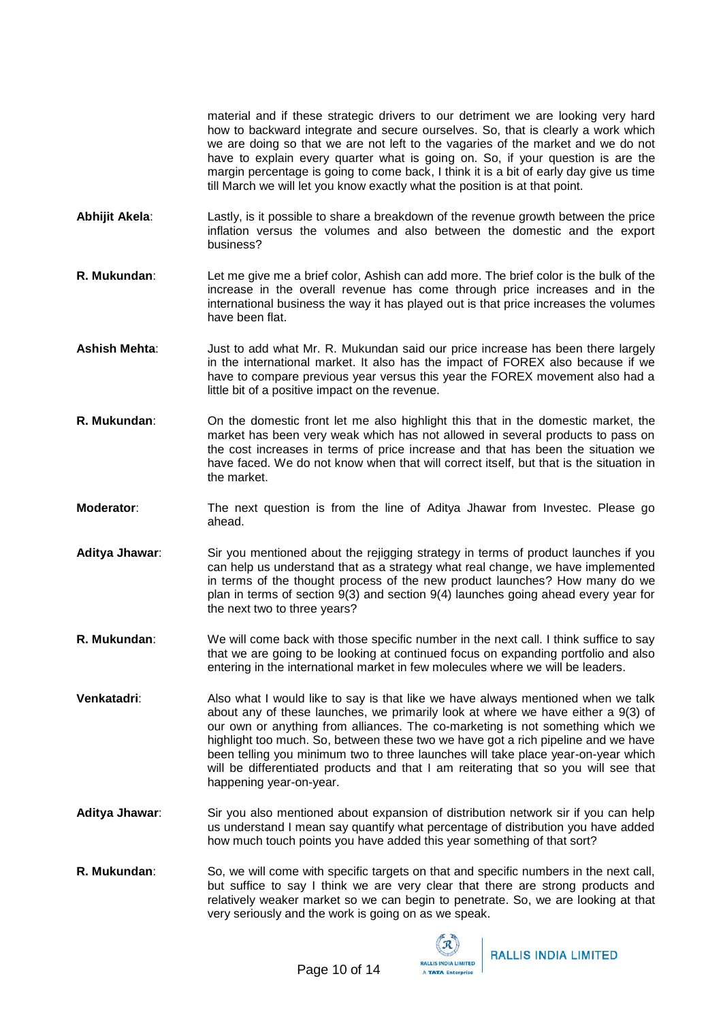material and if these strategic drivers to our detriment we are looking very hard how to backward integrate and secure ourselves. So, that is clearly a work which we are doing so that we are not left to the vagaries of the market and we do not have to explain every quarter what is going on. So, if your question is are the margin percentage is going to come back, I think it is a bit of early day give us time till March we will let you know exactly what the position is at that point.

- **Abhijit Akela**: Lastly, is it possible to share a breakdown of the revenue growth between the price inflation versus the volumes and also between the domestic and the export business?
- **R. Mukundan**: Let me give me a brief color, Ashish can add more. The brief color is the bulk of the increase in the overall revenue has come through price increases and in the international business the way it has played out is that price increases the volumes have been flat.
- **Ashish Mehta**: Just to add what Mr. R. Mukundan said our price increase has been there largely in the international market. It also has the impact of FOREX also because if we have to compare previous year versus this year the FOREX movement also had a little bit of a positive impact on the revenue.
- **R. Mukundan**: On the domestic front let me also highlight this that in the domestic market, the market has been very weak which has not allowed in several products to pass on the cost increases in terms of price increase and that has been the situation we have faced. We do not know when that will correct itself, but that is the situation in the market.
- **Moderator**: The next question is from the line of Aditya Jhawar from Investec. Please go ahead.
- **Aditya Jhawar**: Sir you mentioned about the rejigging strategy in terms of product launches if you can help us understand that as a strategy what real change, we have implemented in terms of the thought process of the new product launches? How many do we plan in terms of section 9(3) and section 9(4) launches going ahead every year for the next two to three years?
- **R. Mukundan**: We will come back with those specific number in the next call. I think suffice to say that we are going to be looking at continued focus on expanding portfolio and also entering in the international market in few molecules where we will be leaders.
- **Venkatadri:** Also what I would like to say is that like we have always mentioned when we talk about any of these launches, we primarily look at where we have either a 9(3) of our own or anything from alliances. The co-marketing is not something which we highlight too much. So, between these two we have got a rich pipeline and we have been telling you minimum two to three launches will take place year-on-year which will be differentiated products and that I am reiterating that so you will see that happening year-on-year.
- **Aditya Jhawar**: Sir you also mentioned about expansion of distribution network sir if you can help us understand I mean say quantify what percentage of distribution you have added how much touch points you have added this year something of that sort?
- **R. Mukundan**: So, we will come with specific targets on that and specific numbers in the next call, but suffice to say I think we are very clear that there are strong products and relatively weaker market so we can begin to penetrate. So, we are looking at that very seriously and the work is going on as we speak.

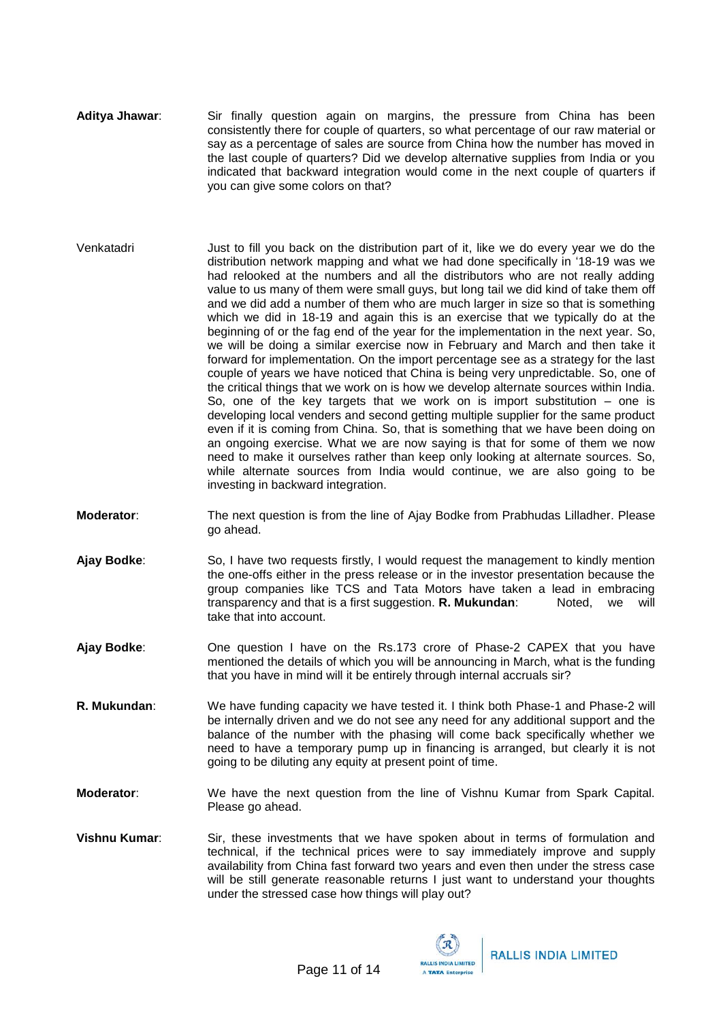- **Aditya Jhawar**: Sir finally question again on margins, the pressure from China has been consistently there for couple of quarters, so what percentage of our raw material or say as a percentage of sales are source from China how the number has moved in the last couple of quarters? Did we develop alternative supplies from India or you indicated that backward integration would come in the next couple of quarters if you can give some colors on that?
- Venkatadri Just to fill you back on the distribution part of it, like we do every year we do the distribution network mapping and what we had done specifically in '18-19 was we had relooked at the numbers and all the distributors who are not really adding value to us many of them were small guys, but long tail we did kind of take them off and we did add a number of them who are much larger in size so that is something which we did in 18-19 and again this is an exercise that we typically do at the beginning of or the fag end of the year for the implementation in the next year. So, we will be doing a similar exercise now in February and March and then take it forward for implementation. On the import percentage see as a strategy for the last couple of years we have noticed that China is being very unpredictable. So, one of the critical things that we work on is how we develop alternate sources within India. So, one of the key targets that we work on is import substitution  $-$  one is developing local venders and second getting multiple supplier for the same product even if it is coming from China. So, that is something that we have been doing on an ongoing exercise. What we are now saying is that for some of them we now need to make it ourselves rather than keep only looking at alternate sources. So, while alternate sources from India would continue, we are also going to be investing in backward integration.
- **Moderator**: The next question is from the line of Ajay Bodke from Prabhudas Lilladher. Please go ahead.
- **Ajay Bodke**: So, I have two requests firstly, I would request the management to kindly mention the one-offs either in the press release or in the investor presentation because the group companies like TCS and Tata Motors have taken a lead in embracing transparency and that is a first suggestion. **R. Mukundan**: Noted, we will take that into account.
- **Ajay Bodke**: One question I have on the Rs.173 crore of Phase-2 CAPEX that you have mentioned the details of which you will be announcing in March, what is the funding that you have in mind will it be entirely through internal accruals sir?
- **R. Mukundan**: We have funding capacity we have tested it. I think both Phase-1 and Phase-2 will be internally driven and we do not see any need for any additional support and the balance of the number with the phasing will come back specifically whether we need to have a temporary pump up in financing is arranged, but clearly it is not going to be diluting any equity at present point of time.
- **Moderator**: We have the next question from the line of Vishnu Kumar from Spark Capital. Please go ahead.
- **Vishnu Kumar**: Sir, these investments that we have spoken about in terms of formulation and technical, if the technical prices were to say immediately improve and supply availability from China fast forward two years and even then under the stress case will be still generate reasonable returns I just want to understand your thoughts under the stressed case how things will play out?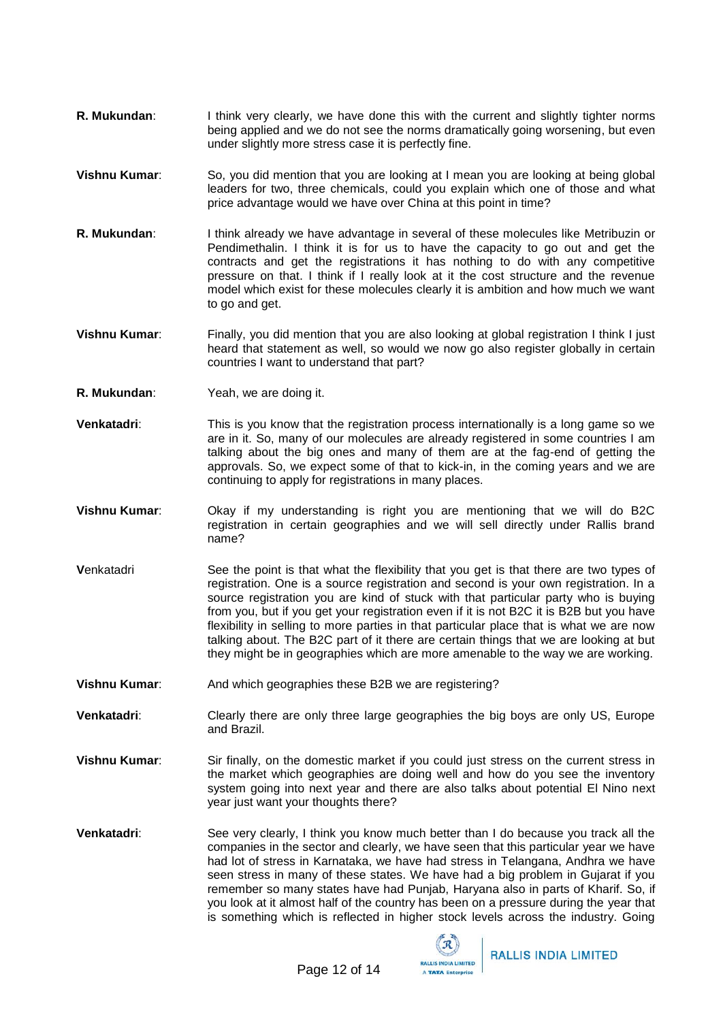- **R. Mukundan**: I think very clearly, we have done this with the current and slightly tighter norms being applied and we do not see the norms dramatically going worsening, but even under slightly more stress case it is perfectly fine.
- **Vishnu Kumar**: So, you did mention that you are looking at I mean you are looking at being global leaders for two, three chemicals, could you explain which one of those and what price advantage would we have over China at this point in time?
- **R. Mukundan**: I think already we have advantage in several of these molecules like Metribuzin or Pendimethalin. I think it is for us to have the capacity to go out and get the contracts and get the registrations it has nothing to do with any competitive pressure on that. I think if I really look at it the cost structure and the revenue model which exist for these molecules clearly it is ambition and how much we want to go and get.
- **Vishnu Kumar**: Finally, you did mention that you are also looking at global registration I think I just heard that statement as well, so would we now go also register globally in certain countries I want to understand that part?
- **R. Mukundan**: Yeah, we are doing it.
- **Venkatadri**: This is you know that the registration process internationally is a long game so we are in it. So, many of our molecules are already registered in some countries I am talking about the big ones and many of them are at the fag-end of getting the approvals. So, we expect some of that to kick-in, in the coming years and we are continuing to apply for registrations in many places.
- **Vishnu Kumar**: Okay if my understanding is right you are mentioning that we will do B2C registration in certain geographies and we will sell directly under Rallis brand name?
- **Venkatadri** See the point is that what the flexibility that you get is that there are two types of registration. One is a source registration and second is your own registration. In a source registration you are kind of stuck with that particular party who is buying from you, but if you get your registration even if it is not B2C it is B2B but you have flexibility in selling to more parties in that particular place that is what we are now talking about. The B2C part of it there are certain things that we are looking at but they might be in geographies which are more amenable to the way we are working.
- **Vishnu Kumar**: And which geographies these B2B we are registering?
- **Venkatadri:** Clearly there are only three large geographies the big boys are only US, Europe and Brazil.
- **Vishnu Kumar**: Sir finally, on the domestic market if you could just stress on the current stress in the market which geographies are doing well and how do you see the inventory system going into next year and there are also talks about potential El Nino next year just want your thoughts there?
- **Venkatadri**: See very clearly, I think you know much better than I do because you track all the companies in the sector and clearly, we have seen that this particular year we have had lot of stress in Karnataka, we have had stress in Telangana, Andhra we have seen stress in many of these states. We have had a big problem in Gujarat if you remember so many states have had Punjab, Haryana also in parts of Kharif. So, if you look at it almost half of the country has been on a pressure during the year that is something which is reflected in higher stock levels across the industry. Going

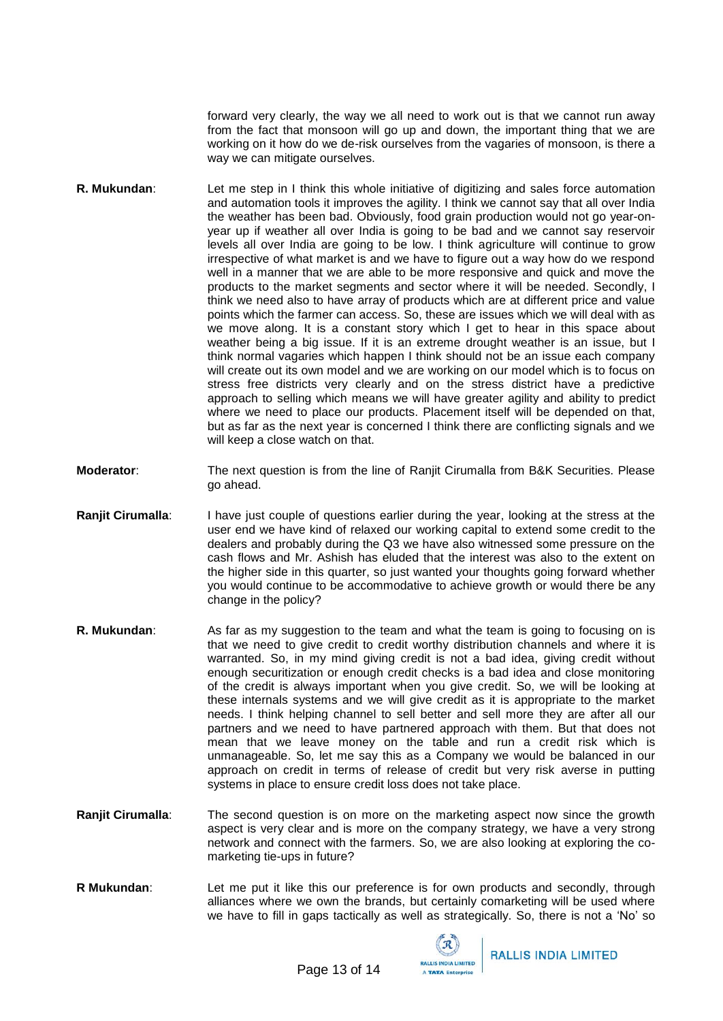forward very clearly, the way we all need to work out is that we cannot run away from the fact that monsoon will go up and down, the important thing that we are working on it how do we de-risk ourselves from the vagaries of monsoon, is there a way we can mitigate ourselves.

- **R. Mukundan**: Let me step in I think this whole initiative of digitizing and sales force automation and automation tools it improves the agility. I think we cannot say that all over India the weather has been bad. Obviously, food grain production would not go year-onyear up if weather all over India is going to be bad and we cannot say reservoir levels all over India are going to be low. I think agriculture will continue to grow irrespective of what market is and we have to figure out a way how do we respond well in a manner that we are able to be more responsive and quick and move the products to the market segments and sector where it will be needed. Secondly, I think we need also to have array of products which are at different price and value points which the farmer can access. So, these are issues which we will deal with as we move along. It is a constant story which I get to hear in this space about weather being a big issue. If it is an extreme drought weather is an issue, but I think normal vagaries which happen I think should not be an issue each company will create out its own model and we are working on our model which is to focus on stress free districts very clearly and on the stress district have a predictive approach to selling which means we will have greater agility and ability to predict where we need to place our products. Placement itself will be depended on that, but as far as the next year is concerned I think there are conflicting signals and we will keep a close watch on that.
- **Moderator**: The next question is from the line of Ranjit Cirumalla from B&K Securities. Please go ahead.
- **Ranjit Cirumalla**: I have just couple of questions earlier during the year, looking at the stress at the user end we have kind of relaxed our working capital to extend some credit to the dealers and probably during the Q3 we have also witnessed some pressure on the cash flows and Mr. Ashish has eluded that the interest was also to the extent on the higher side in this quarter, so just wanted your thoughts going forward whether you would continue to be accommodative to achieve growth or would there be any change in the policy?
- **R. Mukundan**: As far as my suggestion to the team and what the team is going to focusing on is that we need to give credit to credit worthy distribution channels and where it is warranted. So, in my mind giving credit is not a bad idea, giving credit without enough securitization or enough credit checks is a bad idea and close monitoring of the credit is always important when you give credit. So, we will be looking at these internals systems and we will give credit as it is appropriate to the market needs. I think helping channel to sell better and sell more they are after all our partners and we need to have partnered approach with them. But that does not mean that we leave money on the table and run a credit risk which is unmanageable. So, let me say this as a Company we would be balanced in our approach on credit in terms of release of credit but very risk averse in putting systems in place to ensure credit loss does not take place.
- **Ranjit Cirumalla**: The second question is on more on the marketing aspect now since the growth aspect is very clear and is more on the company strategy, we have a very strong network and connect with the farmers. So, we are also looking at exploring the comarketing tie-ups in future?
- **R Mukundan**: Let me put it like this our preference is for own products and secondly, through alliances where we own the brands, but certainly comarketing will be used where we have to fill in gaps tactically as well as strategically. So, there is not a 'No' so